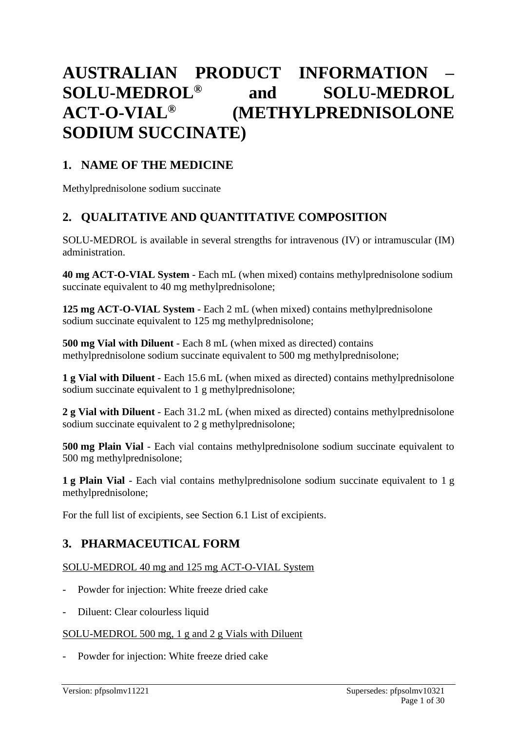# **AUSTRALIAN PRODUCT INFORMATION – SOLU-MEDROL® and SOLU-MEDROL ACT-O-VIAL® (METHYLPREDNISOLONE SODIUM SUCCINATE)**

### **1. NAME OF THE MEDICINE**

Methylprednisolone sodium succinate

# **2. QUALITATIVE AND QUANTITATIVE COMPOSITION**

SOLU-MEDROL is available in several strengths for intravenous (IV) or intramuscular (IM) administration.

**40 mg ACT-O-VIAL System** - Each mL (when mixed) contains methylprednisolone sodium succinate equivalent to 40 mg methylprednisolone;

**125 mg ACT-O-VIAL System** - Each 2 mL (when mixed) contains methylprednisolone sodium succinate equivalent to 125 mg methylprednisolone;

**500 mg Vial with Diluent** - Each 8 mL (when mixed as directed) contains methylprednisolone sodium succinate equivalent to 500 mg methylprednisolone;

**1 g Vial with Diluent** - Each 15.6 mL (when mixed as directed) contains methylprednisolone sodium succinate equivalent to 1 g methylprednisolone;

**2 g Vial with Diluent** - Each 31.2 mL (when mixed as directed) contains methylprednisolone sodium succinate equivalent to 2 g methylprednisolone;

**500 mg Plain Vial** - Each vial contains methylprednisolone sodium succinate equivalent to 500 mg methylprednisolone;

**1 g Plain Vial** - Each vial contains methylprednisolone sodium succinate equivalent to 1 g methylprednisolone;

For the full list of excipients, see Section 6.1 List of excipients.

# **3. PHARMACEUTICAL FORM**

### SOLU-MEDROL 40 mg and 125 mg ACT-O-VIAL System

- Powder for injection: White freeze dried cake
- Diluent: Clear colourless liquid

### SOLU-MEDROL 500 mg, 1 g and 2 g Vials with Diluent

Powder for injection: White freeze dried cake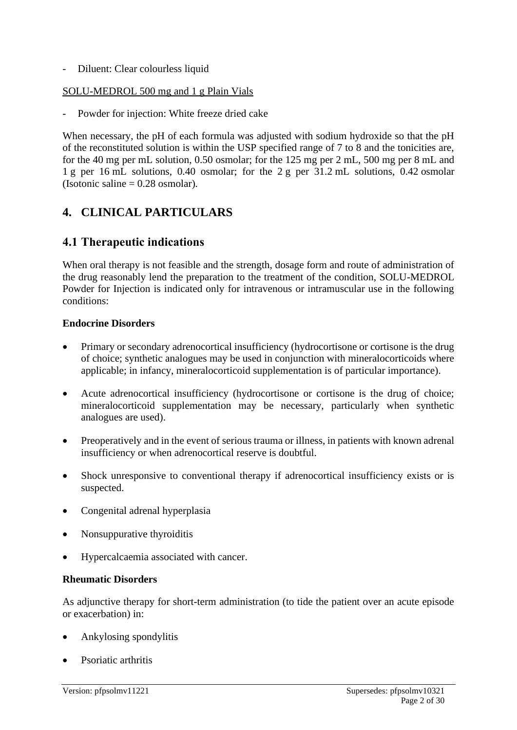- Diluent: Clear colourless liquid

### SOLU-MEDROL 500 mg and 1 g Plain Vials

Powder for injection: White freeze dried cake

When necessary, the pH of each formula was adjusted with sodium hydroxide so that the pH of the reconstituted solution is within the USP specified range of 7 to 8 and the tonicities are, for the 40 mg per mL solution, 0.50 osmolar; for the 125 mg per 2 mL, 500 mg per 8 mL and 1 g per 16 mL solutions, 0.40 osmolar; for the 2 g per 31.2 mL solutions, 0.42 osmolar (Isotonic saline  $= 0.28$  osmolar).

# **4. CLINICAL PARTICULARS**

### **4.1 Therapeutic indications**

When oral therapy is not feasible and the strength, dosage form and route of administration of the drug reasonably lend the preparation to the treatment of the condition, SOLU-MEDROL Powder for Injection is indicated only for intravenous or intramuscular use in the following conditions:

### **Endocrine Disorders**

- Primary or secondary adrenocortical insufficiency (hydrocortisone or cortisone is the drug of choice; synthetic analogues may be used in conjunction with mineralocorticoids where applicable; in infancy, mineralocorticoid supplementation is of particular importance).
- Acute adrenocortical insufficiency (hydrocortisone or cortisone is the drug of choice; mineralocorticoid supplementation may be necessary, particularly when synthetic analogues are used).
- Preoperatively and in the event of serious trauma or illness, in patients with known adrenal insufficiency or when adrenocortical reserve is doubtful.
- Shock unresponsive to conventional therapy if adrenocortical insufficiency exists or is suspected.
- Congenital adrenal hyperplasia
- Nonsuppurative thyroiditis
- Hypercalcaemia associated with cancer.

### **Rheumatic Disorders**

As adjunctive therapy for short-term administration (to tide the patient over an acute episode or exacerbation) in:

- Ankylosing spondylitis
- Psoriatic arthritis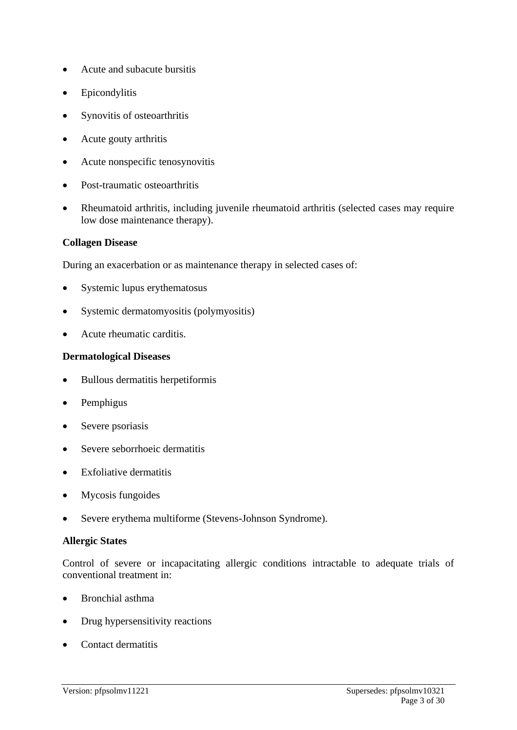- Acute and subacute bursitis
- Epicondylitis
- Synovitis of osteoarthritis
- Acute gouty arthritis
- Acute nonspecific tenosynovitis
- Post-traumatic osteoarthritis
- Rheumatoid arthritis, including juvenile rheumatoid arthritis (selected cases may require low dose maintenance therapy).

### **Collagen Disease**

During an exacerbation or as maintenance therapy in selected cases of:

- Systemic lupus erythematosus
- Systemic dermatomyositis (polymyositis)
- Acute rheumatic carditis.

#### **Dermatological Diseases**

- Bullous dermatitis herpetiformis
- Pemphigus
- Severe psoriasis
- Severe seborrhoeic dermatitis
- Exfoliative dermatitis
- Mycosis fungoides
- Severe erythema multiforme (Stevens-Johnson Syndrome).

#### **Allergic States**

Control of severe or incapacitating allergic conditions intractable to adequate trials of conventional treatment in:

- Bronchial asthma
- Drug hypersensitivity reactions
- Contact dermatitis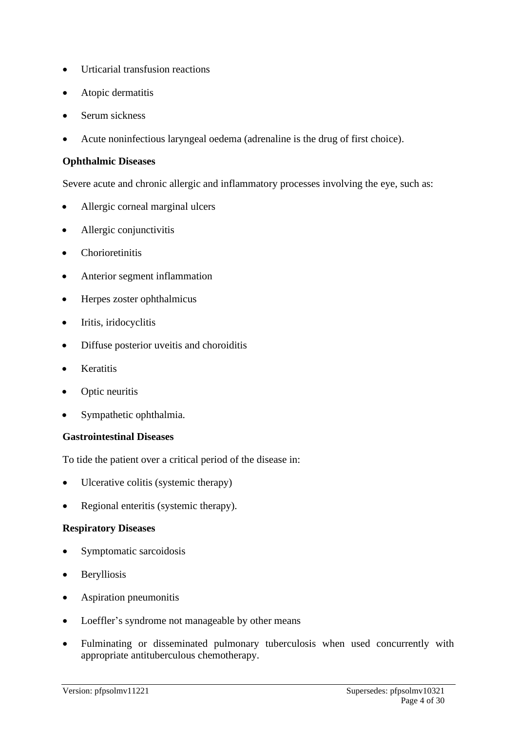- Urticarial transfusion reactions
- Atopic dermatitis
- Serum sickness
- Acute noninfectious laryngeal oedema (adrenaline is the drug of first choice).

### **Ophthalmic Diseases**

Severe acute and chronic allergic and inflammatory processes involving the eye, such as:

- Allergic corneal marginal ulcers
- Allergic conjunctivitis
- Chorioretinitis
- Anterior segment inflammation
- Herpes zoster ophthalmicus
- Iritis, iridocyclitis
- Diffuse posterior uveitis and choroiditis
- Keratitis
- Optic neuritis
- Sympathetic ophthalmia.

### **Gastrointestinal Diseases**

To tide the patient over a critical period of the disease in:

- Ulcerative colitis (systemic therapy)
- Regional enteritis (systemic therapy).

### **Respiratory Diseases**

- Symptomatic sarcoidosis
- Berylliosis
- Aspiration pneumonitis
- Loeffler's syndrome not manageable by other means
- Fulminating or disseminated pulmonary tuberculosis when used concurrently with appropriate antituberculous chemotherapy.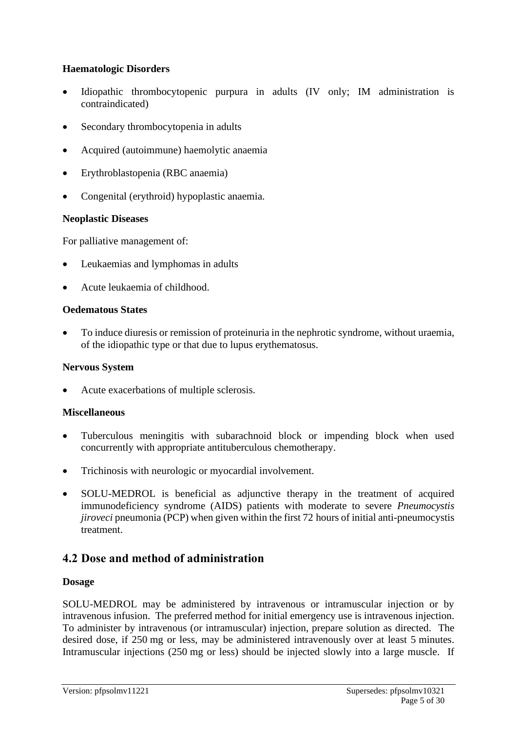### **Haematologic Disorders**

- Idiopathic thrombocytopenic purpura in adults (IV only; IM administration is contraindicated)
- Secondary thrombocytopenia in adults
- Acquired (autoimmune) haemolytic anaemia
- Erythroblastopenia (RBC anaemia)
- Congenital (erythroid) hypoplastic anaemia.

### **Neoplastic Diseases**

For palliative management of:

- Leukaemias and lymphomas in adults
- Acute leukaemia of childhood.

### **Oedematous States**

• To induce diuresis or remission of proteinuria in the nephrotic syndrome, without uraemia, of the idiopathic type or that due to lupus erythematosus.

### **Nervous System**

• Acute exacerbations of multiple sclerosis.

### **Miscellaneous**

- Tuberculous meningitis with subarachnoid block or impending block when used concurrently with appropriate antituberculous chemotherapy.
- Trichinosis with neurologic or myocardial involvement.
- SOLU-MEDROL is beneficial as adjunctive therapy in the treatment of acquired immunodeficiency syndrome (AIDS) patients with moderate to severe *Pneumocystis jiroveci* pneumonia (PCP) when given within the first 72 hours of initial anti-pneumocystis treatment.

### **4.2 Dose and method of administration**

### **Dosage**

SOLU-MEDROL may be administered by intravenous or intramuscular injection or by intravenous infusion. The preferred method for initial emergency use is intravenous injection. To administer by intravenous (or intramuscular) injection, prepare solution as directed. The desired dose, if 250 mg or less, may be administered intravenously over at least 5 minutes. Intramuscular injections (250 mg or less) should be injected slowly into a large muscle. If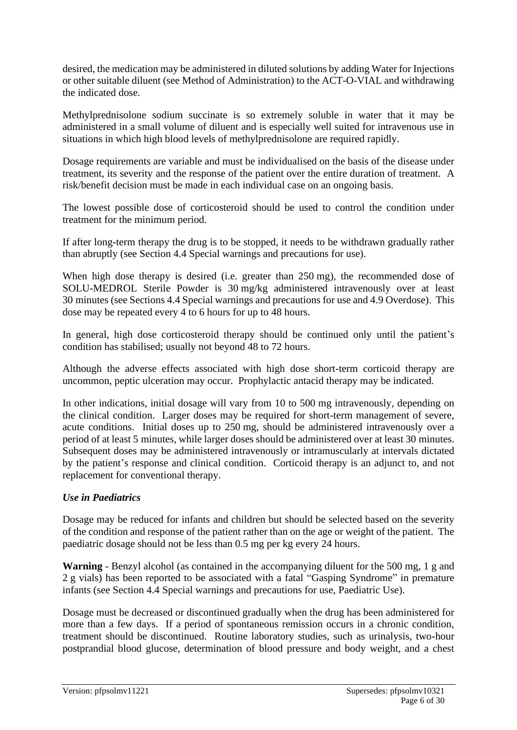desired, the medication may be administered in diluted solutions by adding Water for Injections or other suitable diluent (see Method of Administration) to the ACT-O-VIAL and withdrawing the indicated dose.

Methylprednisolone sodium succinate is so extremely soluble in water that it may be administered in a small volume of diluent and is especially well suited for intravenous use in situations in which high blood levels of methylprednisolone are required rapidly.

Dosage requirements are variable and must be individualised on the basis of the disease under treatment, its severity and the response of the patient over the entire duration of treatment. A risk/benefit decision must be made in each individual case on an ongoing basis.

The lowest possible dose of corticosteroid should be used to control the condition under treatment for the minimum period.

If after long-term therapy the drug is to be stopped, it needs to be withdrawn gradually rather than abruptly (see Section 4.4 Special warnings and precautions for use).

When high dose therapy is desired (i.e. greater than 250 mg), the recommended dose of SOLU-MEDROL Sterile Powder is 30 mg/kg administered intravenously over at least 30 minutes (see Sections 4.4 Special warnings and precautions for use and 4.9 Overdose). This dose may be repeated every 4 to 6 hours for up to 48 hours.

In general, high dose corticosteroid therapy should be continued only until the patient's condition has stabilised; usually not beyond 48 to 72 hours.

Although the adverse effects associated with high dose short-term corticoid therapy are uncommon, peptic ulceration may occur. Prophylactic antacid therapy may be indicated.

In other indications, initial dosage will vary from 10 to 500 mg intravenously, depending on the clinical condition. Larger doses may be required for short-term management of severe, acute conditions. Initial doses up to 250 mg, should be administered intravenously over a period of at least 5 minutes, while larger doses should be administered over at least 30 minutes. Subsequent doses may be administered intravenously or intramuscularly at intervals dictated by the patient's response and clinical condition. Corticoid therapy is an adjunct to, and not replacement for conventional therapy.

### *Use in Paediatrics*

Dosage may be reduced for infants and children but should be selected based on the severity of the condition and response of the patient rather than on the age or weight of the patient. The paediatric dosage should not be less than 0.5 mg per kg every 24 hours.

**Warning** - Benzyl alcohol (as contained in the accompanying diluent for the 500 mg, 1 g and 2 g vials) has been reported to be associated with a fatal "Gasping Syndrome" in premature infants (see Section 4.4 Special warnings and precautions for use, Paediatric Use).

Dosage must be decreased or discontinued gradually when the drug has been administered for more than a few days. If a period of spontaneous remission occurs in a chronic condition, treatment should be discontinued. Routine laboratory studies, such as urinalysis, two-hour postprandial blood glucose, determination of blood pressure and body weight, and a chest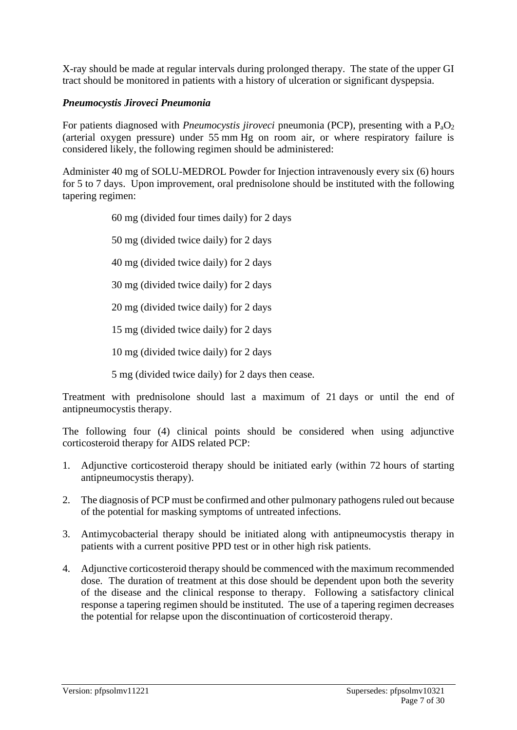X-ray should be made at regular intervals during prolonged therapy. The state of the upper GI tract should be monitored in patients with a history of ulceration or significant dyspepsia.

### *Pneumocystis Jiroveci Pneumonia*

For patients diagnosed with *Pneumocystis jiroveci* pneumonia (PCP), presenting with a P<sub>a</sub>O<sub>2</sub> (arterial oxygen pressure) under 55 mm Hg on room air, or where respiratory failure is considered likely, the following regimen should be administered:

Administer 40 mg of SOLU-MEDROL Powder for Injection intravenously every six (6) hours for 5 to 7 days. Upon improvement, oral prednisolone should be instituted with the following tapering regimen:

60 mg (divided four times daily) for 2 days

50 mg (divided twice daily) for 2 days

40 mg (divided twice daily) for 2 days

30 mg (divided twice daily) for 2 days

20 mg (divided twice daily) for 2 days

15 mg (divided twice daily) for 2 days

10 mg (divided twice daily) for 2 days

5 mg (divided twice daily) for 2 days then cease.

Treatment with prednisolone should last a maximum of 21 days or until the end of antipneumocystis therapy.

The following four (4) clinical points should be considered when using adjunctive corticosteroid therapy for AIDS related PCP:

- 1. Adjunctive corticosteroid therapy should be initiated early (within 72 hours of starting antipneumocystis therapy).
- 2. The diagnosis of PCP must be confirmed and other pulmonary pathogens ruled out because of the potential for masking symptoms of untreated infections.
- 3. Antimycobacterial therapy should be initiated along with antipneumocystis therapy in patients with a current positive PPD test or in other high risk patients.
- 4. Adjunctive corticosteroid therapy should be commenced with the maximum recommended dose. The duration of treatment at this dose should be dependent upon both the severity of the disease and the clinical response to therapy. Following a satisfactory clinical response a tapering regimen should be instituted. The use of a tapering regimen decreases the potential for relapse upon the discontinuation of corticosteroid therapy.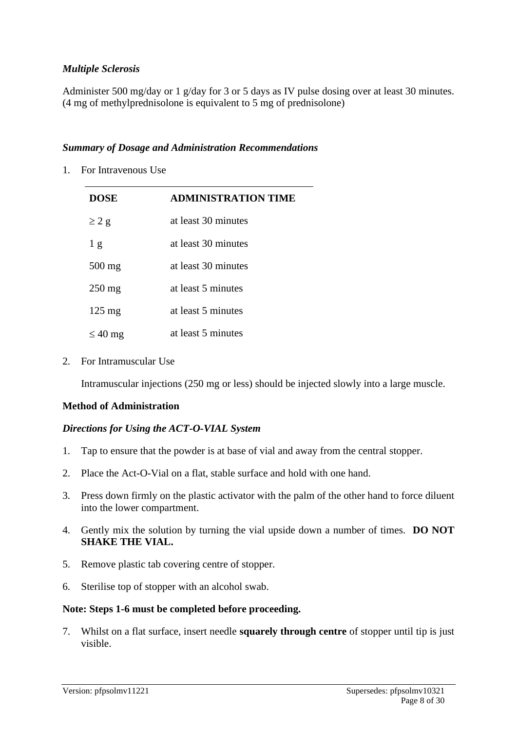### *Multiple Sclerosis*

Administer 500 mg/day or 1 g/day for 3 or 5 days as IV pulse dosing over at least 30 minutes. (4 mg of methylprednisolone is equivalent to 5 mg of prednisolone)

#### *Summary of Dosage and Administration Recommendations*

1. For Intravenous Use

| <b>DOSE</b>      | <b>ADMINISTRATION TIME</b> |
|------------------|----------------------------|
| $\geq$ 2 g       | at least 30 minutes        |
| 1 <sub>g</sub>   | at least 30 minutes        |
| $500 \text{ mg}$ | at least 30 minutes        |
| $250 \text{ mg}$ | at least 5 minutes         |
| $125 \text{ mg}$ | at least 5 minutes         |
| $\leq 40$ mg     | at least 5 minutes         |

2. For Intramuscular Use

Intramuscular injections (250 mg or less) should be injected slowly into a large muscle.

### **Method of Administration**

### *Directions for Using the ACT-O-VIAL System*

- 1. Tap to ensure that the powder is at base of vial and away from the central stopper.
- 2. Place the Act-O-Vial on a flat, stable surface and hold with one hand.
- 3. Press down firmly on the plastic activator with the palm of the other hand to force diluent into the lower compartment.
- 4. Gently mix the solution by turning the vial upside down a number of times. **DO NOT SHAKE THE VIAL.**
- 5. Remove plastic tab covering centre of stopper.
- 6. Sterilise top of stopper with an alcohol swab.

### **Note: Steps 1-6 must be completed before proceeding.**

7. Whilst on a flat surface, insert needle **squarely through centre** of stopper until tip is just visible.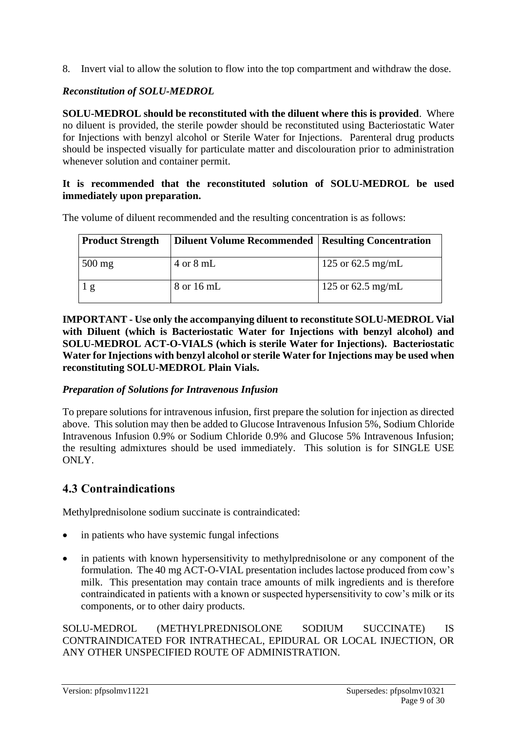8. Invert vial to allow the solution to flow into the top compartment and withdraw the dose.

### *Reconstitution of SOLU-MEDROL*

**SOLU-MEDROL should be reconstituted with the diluent where this is provided**. Where no diluent is provided, the sterile powder should be reconstituted using Bacteriostatic Water for Injections with benzyl alcohol or Sterile Water for Injections. Parenteral drug products should be inspected visually for particulate matter and discolouration prior to administration whenever solution and container permit.

### **It is recommended that the reconstituted solution of SOLU-MEDROL be used immediately upon preparation.**

| <b>Product Strength</b> | Diluent Volume Recommended   Resulting Concentration |                   |
|-------------------------|------------------------------------------------------|-------------------|
| $500$ mg                | $4 \text{ or } 8 \text{ mL}$                         | 125 or 62.5 mg/mL |
|                         | 8 or 16 mL                                           | 125 or 62.5 mg/mL |

The volume of diluent recommended and the resulting concentration is as follows:

**IMPORTANT - Use only the accompanying diluent to reconstitute SOLU-MEDROL Vial with Diluent (which is Bacteriostatic Water for Injections with benzyl alcohol) and SOLU-MEDROL ACT-O-VIALS (which is sterile Water for Injections). Bacteriostatic Water for Injections with benzyl alcohol or sterile Water for Injections may be used when reconstituting SOLU-MEDROL Plain Vials.**

### *Preparation of Solutions for Intravenous Infusion*

To prepare solutions for intravenous infusion, first prepare the solution for injection as directed above. This solution may then be added to Glucose Intravenous Infusion 5%, Sodium Chloride Intravenous Infusion 0.9% or Sodium Chloride 0.9% and Glucose 5% Intravenous Infusion; the resulting admixtures should be used immediately. This solution is for SINGLE USE ONLY.

### **4.3 Contraindications**

Methylprednisolone sodium succinate is contraindicated:

- in patients who have systemic fungal infections
- in patients with known hypersensitivity to methylprednisolone or any component of the formulation. The 40 mg ACT-O-VIAL presentation includes lactose produced from cow's milk. This presentation may contain trace amounts of milk ingredients and is therefore contraindicated in patients with a known or suspected hypersensitivity to cow's milk or its components, or to other dairy products.

SOLU-MEDROL (METHYLPREDNISOLONE SODIUM SUCCINATE) IS CONTRAINDICATED FOR INTRATHECAL, EPIDURAL OR LOCAL INJECTION, OR ANY OTHER UNSPECIFIED ROUTE OF ADMINISTRATION.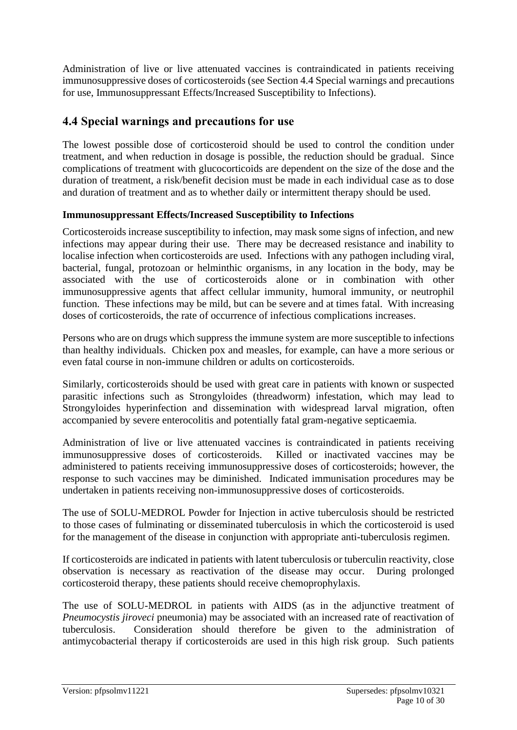Administration of live or live attenuated vaccines is contraindicated in patients receiving immunosuppressive doses of corticosteroids (see Section 4.4 Special warnings and precautions for use, Immunosuppressant Effects/Increased Susceptibility to Infections).

### **4.4 Special warnings and precautions for use**

The lowest possible dose of corticosteroid should be used to control the condition under treatment, and when reduction in dosage is possible, the reduction should be gradual. Since complications of treatment with glucocorticoids are dependent on the size of the dose and the duration of treatment, a risk/benefit decision must be made in each individual case as to dose and duration of treatment and as to whether daily or intermittent therapy should be used.

### **Immunosuppressant Effects/Increased Susceptibility to Infections**

Corticosteroids increase susceptibility to infection, may mask some signs of infection, and new infections may appear during their use. There may be decreased resistance and inability to localise infection when corticosteroids are used. Infections with any pathogen including viral, bacterial, fungal, protozoan or helminthic organisms, in any location in the body, may be associated with the use of corticosteroids alone or in combination with other immunosuppressive agents that affect cellular immunity, humoral immunity, or neutrophil function. These infections may be mild, but can be severe and at times fatal. With increasing doses of corticosteroids, the rate of occurrence of infectious complications increases.

Persons who are on drugs which suppress the immune system are more susceptible to infections than healthy individuals. Chicken pox and measles, for example, can have a more serious or even fatal course in non-immune children or adults on corticosteroids.

Similarly, corticosteroids should be used with great care in patients with known or suspected parasitic infections such as Strongyloides (threadworm) infestation, which may lead to Strongyloides hyperinfection and dissemination with widespread larval migration, often accompanied by severe enterocolitis and potentially fatal gram-negative septicaemia.

Administration of live or live attenuated vaccines is contraindicated in patients receiving immunosuppressive doses of corticosteroids. Killed or inactivated vaccines may be administered to patients receiving immunosuppressive doses of corticosteroids; however, the response to such vaccines may be diminished. Indicated immunisation procedures may be undertaken in patients receiving non-immunosuppressive doses of corticosteroids.

The use of SOLU-MEDROL Powder for Injection in active tuberculosis should be restricted to those cases of fulminating or disseminated tuberculosis in which the corticosteroid is used for the management of the disease in conjunction with appropriate anti-tuberculosis regimen.

If corticosteroids are indicated in patients with latent tuberculosis or tuberculin reactivity, close observation is necessary as reactivation of the disease may occur. During prolonged corticosteroid therapy, these patients should receive chemoprophylaxis.

The use of SOLU-MEDROL in patients with AIDS (as in the adjunctive treatment of *Pneumocystis jiroveci* pneumonia) may be associated with an increased rate of reactivation of tuberculosis. Consideration should therefore be given to the administration of antimycobacterial therapy if corticosteroids are used in this high risk group. Such patients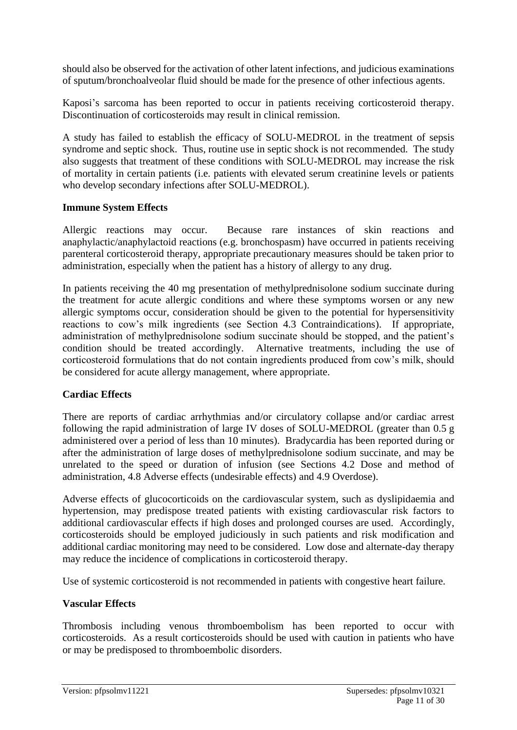should also be observed for the activation of other latent infections, and judicious examinations of sputum/bronchoalveolar fluid should be made for the presence of other infectious agents.

Kaposi's sarcoma has been reported to occur in patients receiving corticosteroid therapy. Discontinuation of corticosteroids may result in clinical remission.

A study has failed to establish the efficacy of SOLU-MEDROL in the treatment of sepsis syndrome and septic shock. Thus, routine use in septic shock is not recommended. The study also suggests that treatment of these conditions with SOLU-MEDROL may increase the risk of mortality in certain patients (i.e. patients with elevated serum creatinine levels or patients who develop secondary infections after SOLU-MEDROL).

### **Immune System Effects**

Allergic reactions may occur. Because rare instances of skin reactions and anaphylactic/anaphylactoid reactions (e.g. bronchospasm) have occurred in patients receiving parenteral corticosteroid therapy, appropriate precautionary measures should be taken prior to administration, especially when the patient has a history of allergy to any drug.

In patients receiving the 40 mg presentation of methylprednisolone sodium succinate during the treatment for acute allergic conditions and where these symptoms worsen or any new allergic symptoms occur, consideration should be given to the potential for hypersensitivity reactions to cow's milk ingredients (see Section 4.3 Contraindications). If appropriate, administration of methylprednisolone sodium succinate should be stopped, and the patient's condition should be treated accordingly. Alternative treatments, including the use of corticosteroid formulations that do not contain ingredients produced from cow's milk, should be considered for acute allergy management, where appropriate.

### **Cardiac Effects**

There are reports of cardiac arrhythmias and/or circulatory collapse and/or cardiac arrest following the rapid administration of large IV doses of SOLU-MEDROL (greater than 0.5 g administered over a period of less than 10 minutes). Bradycardia has been reported during or after the administration of large doses of methylprednisolone sodium succinate, and may be unrelated to the speed or duration of infusion (see Sections 4.2 Dose and method of administration, 4.8 Adverse effects (undesirable effects) and 4.9 Overdose).

Adverse effects of glucocorticoids on the cardiovascular system, such as dyslipidaemia and hypertension, may predispose treated patients with existing cardiovascular risk factors to additional cardiovascular effects if high doses and prolonged courses are used. Accordingly, corticosteroids should be employed judiciously in such patients and risk modification and additional cardiac monitoring may need to be considered. Low dose and alternate-day therapy may reduce the incidence of complications in corticosteroid therapy.

Use of systemic corticosteroid is not recommended in patients with congestive heart failure.

### **Vascular Effects**

Thrombosis including venous thromboembolism has been reported to occur with corticosteroids. As a result corticosteroids should be used with caution in patients who have or may be predisposed to thromboembolic disorders.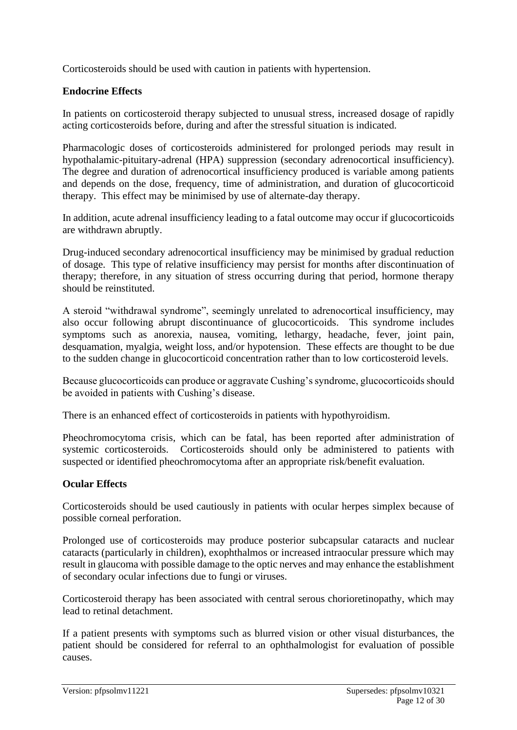Corticosteroids should be used with caution in patients with hypertension.

### **Endocrine Effects**

In patients on corticosteroid therapy subjected to unusual stress, increased dosage of rapidly acting corticosteroids before, during and after the stressful situation is indicated.

Pharmacologic doses of corticosteroids administered for prolonged periods may result in hypothalamic-pituitary-adrenal (HPA) suppression (secondary adrenocortical insufficiency). The degree and duration of adrenocortical insufficiency produced is variable among patients and depends on the dose, frequency, time of administration, and duration of glucocorticoid therapy. This effect may be minimised by use of alternate-day therapy.

In addition, acute adrenal insufficiency leading to a fatal outcome may occur if glucocorticoids are withdrawn abruptly.

Drug-induced secondary adrenocortical insufficiency may be minimised by gradual reduction of dosage. This type of relative insufficiency may persist for months after discontinuation of therapy; therefore, in any situation of stress occurring during that period, hormone therapy should be reinstituted.

A steroid "withdrawal syndrome", seemingly unrelated to adrenocortical insufficiency, may also occur following abrupt discontinuance of glucocorticoids. This syndrome includes symptoms such as anorexia, nausea, vomiting, lethargy, headache, fever, joint pain, desquamation, myalgia, weight loss, and/or hypotension. These effects are thought to be due to the sudden change in glucocorticoid concentration rather than to low corticosteroid levels.

Because glucocorticoids can produce or aggravate Cushing's syndrome, glucocorticoids should be avoided in patients with Cushing's disease.

There is an enhanced effect of corticosteroids in patients with hypothyroidism.

Pheochromocytoma crisis, which can be fatal, has been reported after administration of systemic corticosteroids. Corticosteroids should only be administered to patients with suspected or identified pheochromocytoma after an appropriate risk/benefit evaluation.

### **Ocular Effects**

Corticosteroids should be used cautiously in patients with ocular herpes simplex because of possible corneal perforation.

Prolonged use of corticosteroids may produce posterior subcapsular cataracts and nuclear cataracts (particularly in children), exophthalmos or increased intraocular pressure which may result in glaucoma with possible damage to the optic nerves and may enhance the establishment of secondary ocular infections due to fungi or viruses.

Corticosteroid therapy has been associated with central serous chorioretinopathy, which may lead to retinal detachment.

If a patient presents with symptoms such as blurred vision or other visual disturbances, the patient should be considered for referral to an ophthalmologist for evaluation of possible causes.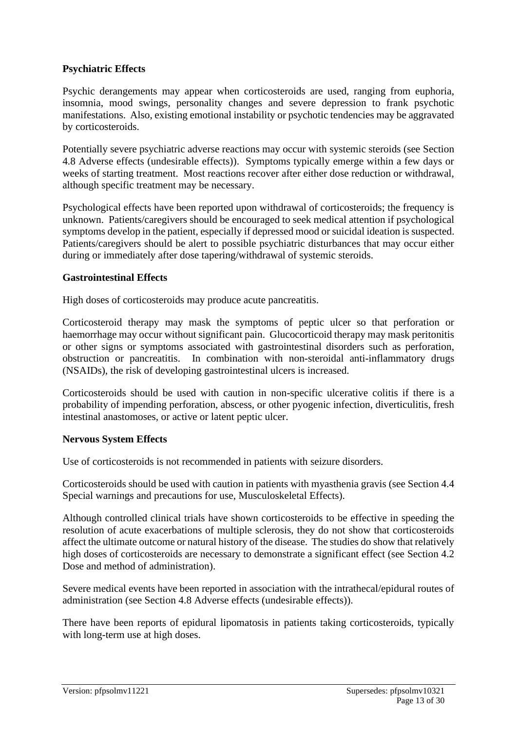### **Psychiatric Effects**

Psychic derangements may appear when corticosteroids are used, ranging from euphoria, insomnia, mood swings, personality changes and severe depression to frank psychotic manifestations. Also, existing emotional instability or psychotic tendencies may be aggravated by corticosteroids.

Potentially severe psychiatric adverse reactions may occur with systemic steroids (see Section 4.8 Adverse effects (undesirable effects)). Symptoms typically emerge within a few days or weeks of starting treatment. Most reactions recover after either dose reduction or withdrawal, although specific treatment may be necessary.

Psychological effects have been reported upon withdrawal of corticosteroids; the frequency is unknown. Patients/caregivers should be encouraged to seek medical attention if psychological symptoms develop in the patient, especially if depressed mood or suicidal ideation is suspected. Patients/caregivers should be alert to possible psychiatric disturbances that may occur either during or immediately after dose tapering/withdrawal of systemic steroids.

#### **Gastrointestinal Effects**

High doses of corticosteroids may produce acute pancreatitis.

Corticosteroid therapy may mask the symptoms of peptic ulcer so that perforation or haemorrhage may occur without significant pain. Glucocorticoid therapy may mask peritonitis or other signs or symptoms associated with gastrointestinal disorders such as perforation, obstruction or pancreatitis. In combination with non-steroidal anti-inflammatory drugs (NSAIDs), the risk of developing gastrointestinal ulcers is increased.

Corticosteroids should be used with caution in non-specific ulcerative colitis if there is a probability of impending perforation, abscess, or other pyogenic infection, diverticulitis, fresh intestinal anastomoses, or active or latent peptic ulcer.

### **Nervous System Effects**

Use of corticosteroids is not recommended in patients with seizure disorders.

Corticosteroids should be used with caution in patients with myasthenia gravis (see Section 4.4 Special warnings and precautions for use, Musculoskeletal Effects).

Although controlled clinical trials have shown corticosteroids to be effective in speeding the resolution of acute exacerbations of multiple sclerosis, they do not show that corticosteroids affect the ultimate outcome or natural history of the disease. The studies do show that relatively high doses of corticosteroids are necessary to demonstrate a significant effect (see Section 4.2 Dose and method of administration).

Severe medical events have been reported in association with the intrathecal/epidural routes of administration (see Section 4.8 Adverse effects (undesirable effects)).

There have been reports of epidural lipomatosis in patients taking corticosteroids, typically with long-term use at high doses.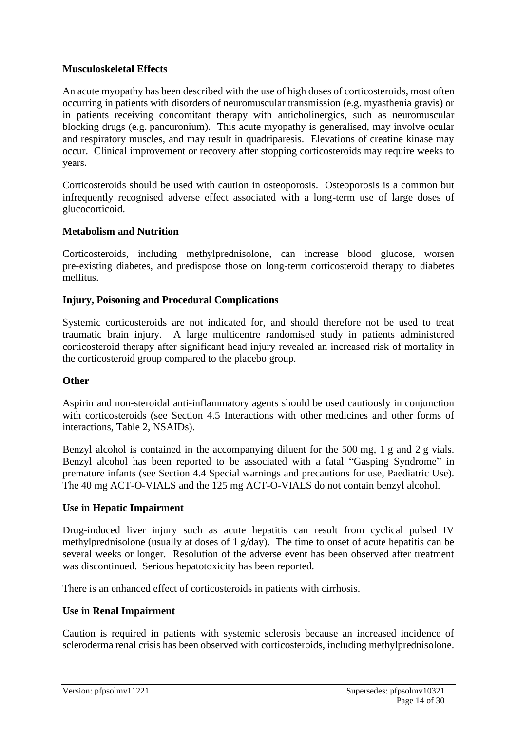### **Musculoskeletal Effects**

An acute myopathy has been described with the use of high doses of corticosteroids, most often occurring in patients with disorders of neuromuscular transmission (e.g. myasthenia gravis) or in patients receiving concomitant therapy with anticholinergics, such as neuromuscular blocking drugs (e.g. pancuronium). This acute myopathy is generalised, may involve ocular and respiratory muscles, and may result in quadriparesis. Elevations of creatine kinase may occur. Clinical improvement or recovery after stopping corticosteroids may require weeks to years.

Corticosteroids should be used with caution in osteoporosis. Osteoporosis is a common but infrequently recognised adverse effect associated with a long-term use of large doses of glucocorticoid.

### **Metabolism and Nutrition**

Corticosteroids, including methylprednisolone, can increase blood glucose, worsen pre-existing diabetes, and predispose those on long-term corticosteroid therapy to diabetes mellitus.

### **Injury, Poisoning and Procedural Complications**

Systemic corticosteroids are not indicated for, and should therefore not be used to treat traumatic brain injury. A large multicentre randomised study in patients administered corticosteroid therapy after significant head injury revealed an increased risk of mortality in the corticosteroid group compared to the placebo group.

### **Other**

Aspirin and non-steroidal anti-inflammatory agents should be used cautiously in conjunction with corticosteroids (see Section 4.5 Interactions with other medicines and other forms of interactions, Table 2, NSAIDs).

Benzyl alcohol is contained in the accompanying diluent for the 500 mg, 1 g and 2 g vials. Benzyl alcohol has been reported to be associated with a fatal "Gasping Syndrome" in premature infants (see Section 4.4 Special warnings and precautions for use, Paediatric Use). The 40 mg ACT-O-VIALS and the 125 mg ACT-O-VIALS do not contain benzyl alcohol.

### **Use in Hepatic Impairment**

Drug-induced liver injury such as acute hepatitis can result from cyclical pulsed IV methylprednisolone (usually at doses of 1 g/day). The time to onset of acute hepatitis can be several weeks or longer. Resolution of the adverse event has been observed after treatment was discontinued. Serious hepatotoxicity has been reported.

There is an enhanced effect of corticosteroids in patients with cirrhosis.

### **Use in Renal Impairment**

Caution is required in patients with systemic sclerosis because an increased incidence of scleroderma renal crisis has been observed with corticosteroids, including methylprednisolone.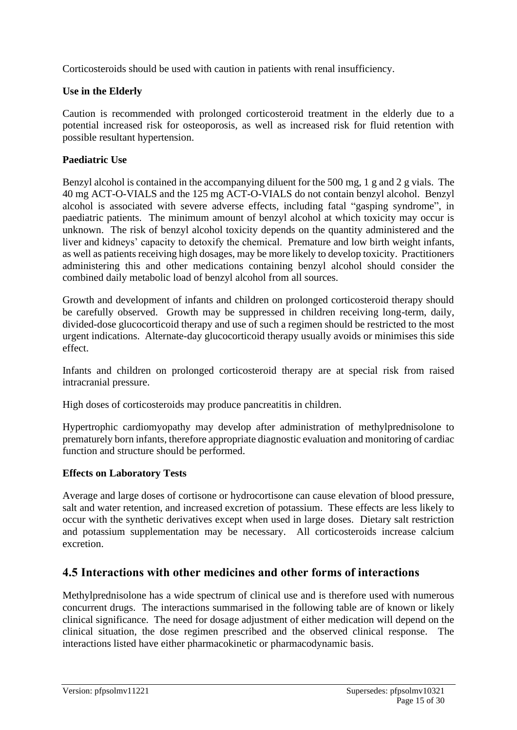Corticosteroids should be used with caution in patients with renal insufficiency.

### **Use in the Elderly**

Caution is recommended with prolonged corticosteroid treatment in the elderly due to a potential increased risk for osteoporosis, as well as increased risk for fluid retention with possible resultant hypertension.

### **Paediatric Use**

Benzyl alcohol is contained in the accompanying diluent for the 500 mg, 1 g and 2 g vials. The 40 mg ACT-O-VIALS and the 125 mg ACT-O-VIALS do not contain benzyl alcohol. Benzyl alcohol is associated with severe adverse effects, including fatal "gasping syndrome", in paediatric patients. The minimum amount of benzyl alcohol at which toxicity may occur is unknown. The risk of benzyl alcohol toxicity depends on the quantity administered and the liver and kidneys' capacity to detoxify the chemical. Premature and low birth weight infants, as well as patients receiving high dosages, may be more likely to develop toxicity. Practitioners administering this and other medications containing benzyl alcohol should consider the combined daily metabolic load of benzyl alcohol from all sources.

Growth and development of infants and children on prolonged corticosteroid therapy should be carefully observed. Growth may be suppressed in children receiving long-term, daily, divided-dose glucocorticoid therapy and use of such a regimen should be restricted to the most urgent indications. Alternate-day glucocorticoid therapy usually avoids or minimises this side effect.

Infants and children on prolonged corticosteroid therapy are at special risk from raised intracranial pressure.

High doses of corticosteroids may produce pancreatitis in children.

Hypertrophic cardiomyopathy may develop after administration of methylprednisolone to prematurely born infants, therefore appropriate diagnostic evaluation and monitoring of cardiac function and structure should be performed.

### **Effects on Laboratory Tests**

Average and large doses of cortisone or hydrocortisone can cause elevation of blood pressure, salt and water retention, and increased excretion of potassium. These effects are less likely to occur with the synthetic derivatives except when used in large doses. Dietary salt restriction and potassium supplementation may be necessary. All corticosteroids increase calcium excretion.

### **4.5 Interactions with other medicines and other forms of interactions**

Methylprednisolone has a wide spectrum of clinical use and is therefore used with numerous concurrent drugs. The interactions summarised in the following table are of known or likely clinical significance. The need for dosage adjustment of either medication will depend on the clinical situation, the dose regimen prescribed and the observed clinical response. The interactions listed have either pharmacokinetic or pharmacodynamic basis.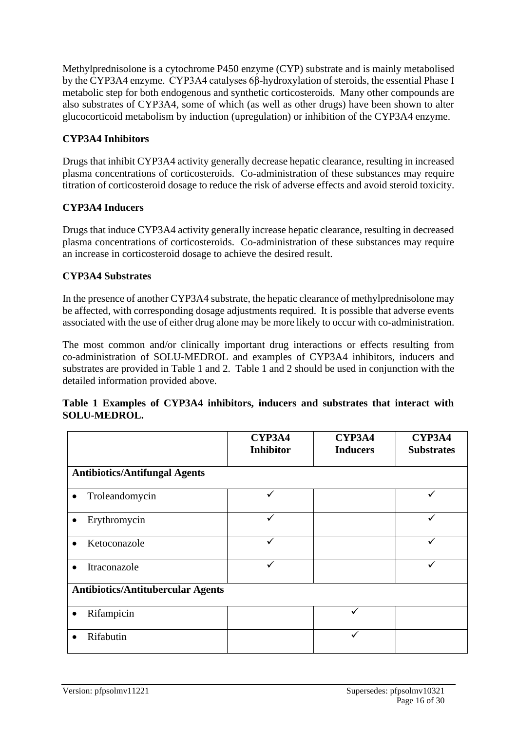Methylprednisolone is a cytochrome P450 enzyme (CYP) substrate and is mainly metabolised by the CYP3A4 enzyme. CYP3A4 catalyses 6β-hydroxylation of steroids, the essential Phase I metabolic step for both endogenous and synthetic corticosteroids. Many other compounds are also substrates of CYP3A4, some of which (as well as other drugs) have been shown to alter glucocorticoid metabolism by induction (upregulation) or inhibition of the CYP3A4 enzyme.

### **CYP3A4 Inhibitors**

Drugs that inhibit CYP3A4 activity generally decrease hepatic clearance, resulting in increased plasma concentrations of corticosteroids. Co-administration of these substances may require titration of corticosteroid dosage to reduce the risk of adverse effects and avoid steroid toxicity.

### **CYP3A4 Inducers**

Drugs that induce CYP3A4 activity generally increase hepatic clearance, resulting in decreased plasma concentrations of corticosteroids. Co-administration of these substances may require an increase in corticosteroid dosage to achieve the desired result.

### **CYP3A4 Substrates**

In the presence of another CYP3A4 substrate, the hepatic clearance of methylprednisolone may be affected, with corresponding dosage adjustments required. It is possible that adverse events associated with the use of either drug alone may be more likely to occur with co-administration.

The most common and/or clinically important drug interactions or effects resulting from co-administration of SOLU-MEDROL and examples of CYP3A4 inhibitors, inducers and substrates are provided in Table 1 and 2. Table 1 and 2 should be used in conjunction with the detailed information provided above.

|                     |  | Table 1 Examples of CYP3A4 inhibitors, inducers and substrates that interact with |  |  |  |
|---------------------|--|-----------------------------------------------------------------------------------|--|--|--|
| <b>SOLU-MEDROL.</b> |  |                                                                                   |  |  |  |

|                                          | CYP3A4<br><b>Inhibitor</b> | CYP3A4<br><b>Inducers</b> | CYP3A4<br><b>Substrates</b> |
|------------------------------------------|----------------------------|---------------------------|-----------------------------|
| <b>Antibiotics/Antifungal Agents</b>     |                            |                           |                             |
| Troleandomycin<br>$\bullet$              |                            |                           |                             |
| Erythromycin                             |                            |                           |                             |
| Ketoconazole<br>$\bullet$                |                            |                           |                             |
| Itraconazole<br>$\bullet$                |                            |                           |                             |
| <b>Antibiotics/Antitubercular Agents</b> |                            |                           |                             |
| Rifampicin                               |                            |                           |                             |
| Rifabutin                                |                            |                           |                             |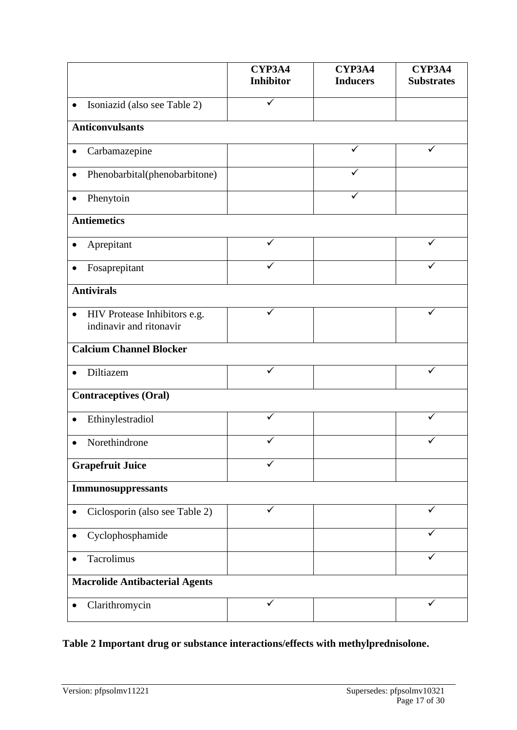|                                                                      | <b>CYP3A4</b><br><b>Inhibitor</b> | CYP3A4<br><b>Inducers</b> | CYP3A4<br><b>Substrates</b> |
|----------------------------------------------------------------------|-----------------------------------|---------------------------|-----------------------------|
|                                                                      |                                   |                           |                             |
| Isoniazid (also see Table 2)<br>$\bullet$                            |                                   |                           |                             |
| <b>Anticonvulsants</b>                                               |                                   |                           |                             |
| Carbamazepine<br>$\bullet$                                           |                                   | ✓                         |                             |
| Phenobarbital(phenobarbitone)<br>$\bullet$                           |                                   |                           |                             |
| Phenytoin<br>$\bullet$                                               |                                   |                           |                             |
| <b>Antiemetics</b>                                                   |                                   |                           |                             |
| Aprepitant<br>$\bullet$                                              |                                   |                           |                             |
| Fosaprepitant<br>$\bullet$                                           |                                   |                           |                             |
| <b>Antivirals</b>                                                    |                                   |                           |                             |
| HIV Protease Inhibitors e.g.<br>$\bullet$<br>indinavir and ritonavir | $\checkmark$                      |                           | $\checkmark$                |
| <b>Calcium Channel Blocker</b>                                       |                                   |                           |                             |
| Diltiazem                                                            | ✓                                 |                           | ✓                           |
| <b>Contraceptives (Oral)</b>                                         |                                   |                           |                             |
| Ethinylestradiol                                                     | $\checkmark$                      |                           | ✓                           |
| Norethindrone<br>$\bullet$                                           |                                   |                           |                             |
| <b>Grapefruit Juice</b>                                              |                                   |                           |                             |
| Immunosuppressants                                                   |                                   |                           |                             |
| Ciclosporin (also see Table 2)                                       | ✓                                 |                           | ✓                           |
| Cyclophosphamide<br>٠                                                |                                   |                           |                             |
| Tacrolimus<br>$\bullet$                                              |                                   |                           | ✓                           |
| <b>Macrolide Antibacterial Agents</b>                                |                                   |                           |                             |
| Clarithromycin<br>٠                                                  |                                   |                           |                             |

# **Table 2 Important drug or substance interactions/effects with methylprednisolone.**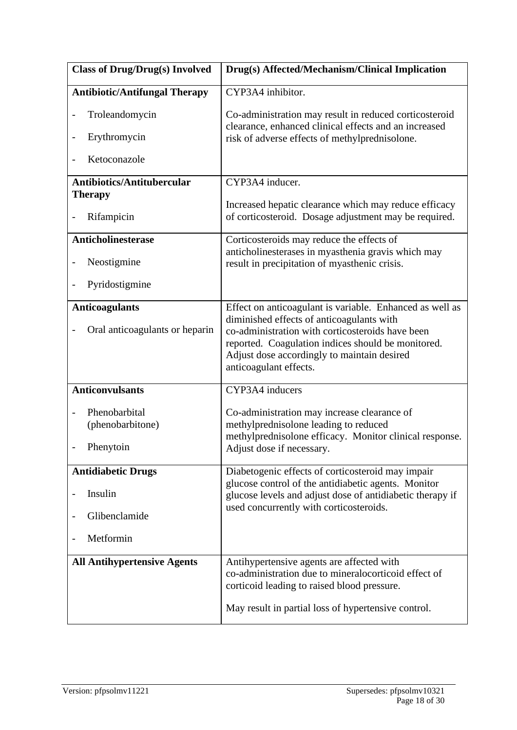| <b>Class of Drug/Drug(s) Involved</b> | Drug(s) Affected/Mechanism/Clinical Implication                                                                                                                                                                              |
|---------------------------------------|------------------------------------------------------------------------------------------------------------------------------------------------------------------------------------------------------------------------------|
| <b>Antibiotic/Antifungal Therapy</b>  | CYP3A4 inhibitor.                                                                                                                                                                                                            |
| Troleandomycin                        | Co-administration may result in reduced corticosteroid<br>clearance, enhanced clinical effects and an increased                                                                                                              |
| Erythromycin                          | risk of adverse effects of methylprednisolone.                                                                                                                                                                               |
| Ketoconazole                          |                                                                                                                                                                                                                              |
| <b>Antibiotics/Antitubercular</b>     | CYP3A4 inducer.                                                                                                                                                                                                              |
| <b>Therapy</b>                        | Increased hepatic clearance which may reduce efficacy                                                                                                                                                                        |
| Rifampicin                            | of corticosteroid. Dosage adjustment may be required.                                                                                                                                                                        |
| <b>Anticholinesterase</b>             | Corticosteroids may reduce the effects of                                                                                                                                                                                    |
| Neostigmine                           | anticholinesterases in myasthenia gravis which may<br>result in precipitation of myasthenic crisis.                                                                                                                          |
| Pyridostigmine                        |                                                                                                                                                                                                                              |
| <b>Anticoagulants</b>                 | Effect on anticoagulant is variable. Enhanced as well as                                                                                                                                                                     |
| Oral anticoagulants or heparin        | diminished effects of anticoagulants with<br>co-administration with corticosteroids have been<br>reported. Coagulation indices should be monitored.<br>Adjust dose accordingly to maintain desired<br>anticoagulant effects. |
| <b>Anticonvulsants</b>                | CYP3A4 inducers                                                                                                                                                                                                              |
|                                       |                                                                                                                                                                                                                              |
| Phenobarbital<br>(phenobarbitone)     | Co-administration may increase clearance of<br>methylprednisolone leading to reduced                                                                                                                                         |
| Phenytoin                             | methylprednisolone efficacy. Monitor clinical response.<br>Adjust dose if necessary.                                                                                                                                         |
| <b>Antidiabetic Drugs</b>             | Diabetogenic effects of corticosteroid may impair                                                                                                                                                                            |
| Insulin                               | glucose control of the antidiabetic agents. Monitor<br>glucose levels and adjust dose of antidiabetic therapy if                                                                                                             |
| Glibenclamide                         | used concurrently with corticosteroids.                                                                                                                                                                                      |
| Metformin                             |                                                                                                                                                                                                                              |
| <b>All Antihypertensive Agents</b>    | Antihypertensive agents are affected with<br>co-administration due to mineralocorticoid effect of<br>corticoid leading to raised blood pressure.                                                                             |
|                                       | May result in partial loss of hypertensive control.                                                                                                                                                                          |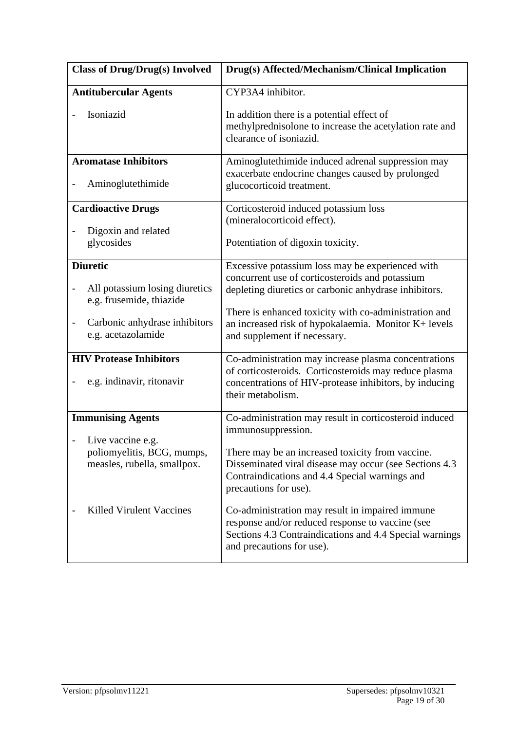| <b>Class of Drug/Drug(s) Involved</b>                                           | Drug(s) Affected/Mechanism/Clinical Implication                                                                                                                                                             |
|---------------------------------------------------------------------------------|-------------------------------------------------------------------------------------------------------------------------------------------------------------------------------------------------------------|
| <b>Antitubercular Agents</b>                                                    | CYP3A4 inhibitor.                                                                                                                                                                                           |
| Isoniazid                                                                       | In addition there is a potential effect of<br>methylprednisolone to increase the acetylation rate and<br>clearance of isoniazid.                                                                            |
| <b>Aromatase Inhibitors</b><br>Aminoglutethimide                                | Aminoglutethimide induced adrenal suppression may<br>exacerbate endocrine changes caused by prolonged<br>glucocorticoid treatment.                                                                          |
| <b>Cardioactive Drugs</b><br>Digoxin and related<br>glycosides                  | Corticosteroid induced potassium loss<br>(mineralocorticoid effect).<br>Potentiation of digoxin toxicity.                                                                                                   |
| <b>Diuretic</b><br>All potassium losing diuretics                               | Excessive potassium loss may be experienced with<br>concurrent use of corticosteroids and potassium<br>depleting diuretics or carbonic anhydrase inhibitors.                                                |
| e.g. frusemide, thiazide<br>Carbonic anhydrase inhibitors<br>e.g. acetazolamide | There is enhanced toxicity with co-administration and<br>an increased risk of hypokalaemia. Monitor K+ levels<br>and supplement if necessary.                                                               |
| <b>HIV Protease Inhibitors</b><br>e.g. indinavir, ritonavir                     | Co-administration may increase plasma concentrations<br>of corticosteroids. Corticosteroids may reduce plasma<br>concentrations of HIV-protease inhibitors, by inducing<br>their metabolism.                |
| <b>Immunising Agents</b>                                                        | Co-administration may result in corticosteroid induced                                                                                                                                                      |
| Live vaccine e.g.<br>poliomyelitis, BCG, mumps,<br>measles, rubella, smallpox.  | immunosuppression.<br>There may be an increased toxicity from vaccine.<br>Disseminated viral disease may occur (see Sections 4.3<br>Contraindications and 4.4 Special warnings and<br>precautions for use). |
| <b>Killed Virulent Vaccines</b>                                                 | Co-administration may result in impaired immune<br>response and/or reduced response to vaccine (see<br>Sections 4.3 Contraindications and 4.4 Special warnings<br>and precautions for use).                 |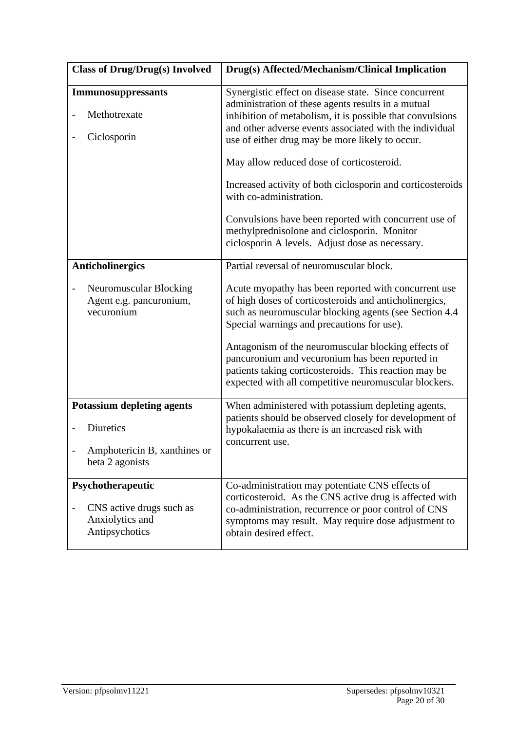| <b>Class of Drug/Drug(s) Involved</b>                                              | Drug(s) Affected/Mechanism/Clinical Implication                                                                                                                                                                                                                                        |
|------------------------------------------------------------------------------------|----------------------------------------------------------------------------------------------------------------------------------------------------------------------------------------------------------------------------------------------------------------------------------------|
| <b>Immunosuppressants</b><br>Methotrexate<br>Ciclosporin                           | Synergistic effect on disease state. Since concurrent<br>administration of these agents results in a mutual<br>inhibition of metabolism, it is possible that convulsions<br>and other adverse events associated with the individual<br>use of either drug may be more likely to occur. |
|                                                                                    | May allow reduced dose of corticosteroid.                                                                                                                                                                                                                                              |
|                                                                                    | Increased activity of both ciclosporin and corticosteroids<br>with co-administration.                                                                                                                                                                                                  |
|                                                                                    | Convulsions have been reported with concurrent use of<br>methylprednisolone and ciclosporin. Monitor<br>ciclosporin A levels. Adjust dose as necessary.                                                                                                                                |
| <b>Anticholinergics</b>                                                            | Partial reversal of neuromuscular block.                                                                                                                                                                                                                                               |
| Neuromuscular Blocking<br>Agent e.g. pancuronium,<br>vecuronium                    | Acute myopathy has been reported with concurrent use<br>of high doses of corticosteroids and anticholinergics,<br>such as neuromuscular blocking agents (see Section 4.4<br>Special warnings and precautions for use).                                                                 |
|                                                                                    | Antagonism of the neuromuscular blocking effects of<br>pancuronium and vecuronium has been reported in<br>patients taking corticosteroids. This reaction may be<br>expected with all competitive neuromuscular blockers.                                                               |
| <b>Potassium depleting agents</b>                                                  | When administered with potassium depleting agents,                                                                                                                                                                                                                                     |
| Diuretics                                                                          | patients should be observed closely for development of<br>hypokalaemia as there is an increased risk with                                                                                                                                                                              |
| Amphotericin B, xanthines or<br>beta 2 agonists                                    | concurrent use.                                                                                                                                                                                                                                                                        |
| Psychotherapeutic<br>CNS active drugs such as<br>Anxiolytics and<br>Antipsychotics | Co-administration may potentiate CNS effects of<br>corticosteroid. As the CNS active drug is affected with<br>co-administration, recurrence or poor control of CNS<br>symptoms may result. May require dose adjustment to<br>obtain desired effect.                                    |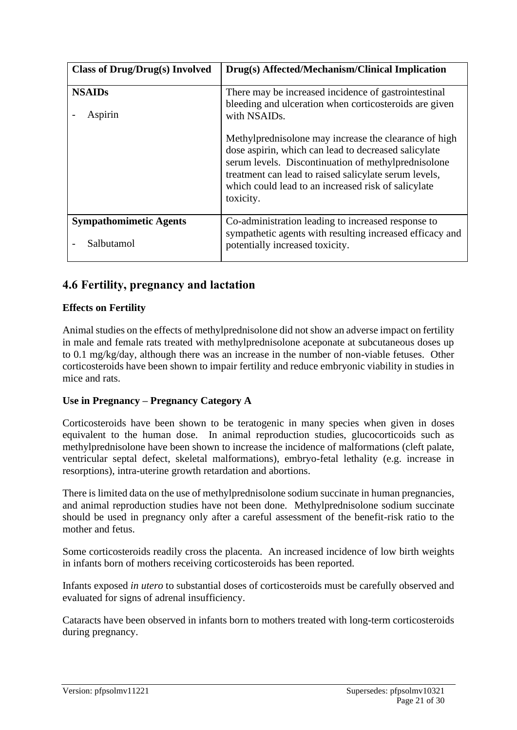| <b>Class of Drug/Drug(s) Involved</b>       | Drug(s) Affected/Mechanism/Clinical Implication                                                                                                                                                                                                                                                   |
|---------------------------------------------|---------------------------------------------------------------------------------------------------------------------------------------------------------------------------------------------------------------------------------------------------------------------------------------------------|
| <b>NSAIDs</b><br>Aspirin                    | There may be increased incidence of gastrointestinal<br>bleeding and ulceration when corticosteroids are given<br>with NSAID <sub>s</sub> .                                                                                                                                                       |
|                                             | Methylprednisolone may increase the clearance of high<br>dose aspirin, which can lead to decreased salicylate<br>serum levels. Discontinuation of methylprednisolone<br>treatment can lead to raised salicylate serum levels,<br>which could lead to an increased risk of salicylate<br>toxicity. |
| <b>Sympathomimetic Agents</b><br>Salbutamol | Co-administration leading to increased response to<br>sympathetic agents with resulting increased efficacy and<br>potentially increased toxicity.                                                                                                                                                 |

# **4.6 Fertility, pregnancy and lactation**

### **Effects on Fertility**

Animal studies on the effects of methylprednisolone did not show an adverse impact on fertility in male and female rats treated with methylprednisolone aceponate at subcutaneous doses up to 0.1 mg/kg/day, although there was an increase in the number of non-viable fetuses. Other corticosteroids have been shown to impair fertility and reduce embryonic viability in studies in mice and rats.

### **Use in Pregnancy – Pregnancy Category A**

Corticosteroids have been shown to be teratogenic in many species when given in doses equivalent to the human dose. In animal reproduction studies, glucocorticoids such as methylprednisolone have been shown to increase the incidence of malformations (cleft palate, ventricular septal defect, skeletal malformations), embryo-fetal lethality (e.g. increase in resorptions), intra-uterine growth retardation and abortions.

There is limited data on the use of methylprednisolone sodium succinate in human pregnancies, and animal reproduction studies have not been done. Methylprednisolone sodium succinate should be used in pregnancy only after a careful assessment of the benefit-risk ratio to the mother and fetus.

Some corticosteroids readily cross the placenta. An increased incidence of low birth weights in infants born of mothers receiving corticosteroids has been reported.

Infants exposed *in utero* to substantial doses of corticosteroids must be carefully observed and evaluated for signs of adrenal insufficiency.

Cataracts have been observed in infants born to mothers treated with long-term corticosteroids during pregnancy.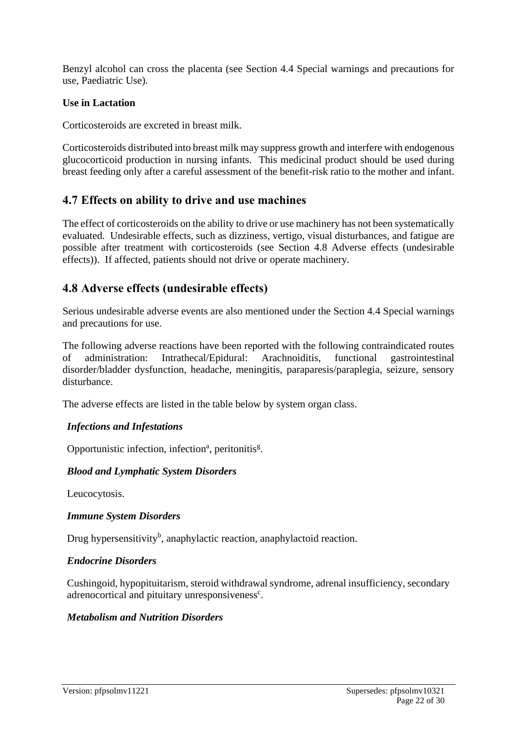Benzyl alcohol can cross the placenta (see Section 4.4 Special warnings and precautions for use, Paediatric Use).

### **Use in Lactation**

Corticosteroids are excreted in breast milk.

Corticosteroids distributed into breast milk may suppress growth and interfere with endogenous glucocorticoid production in nursing infants. This medicinal product should be used during breast feeding only after a careful assessment of the benefit-risk ratio to the mother and infant.

### **4.7 Effects on ability to drive and use machines**

The effect of corticosteroids on the ability to drive or use machinery has not been systematically evaluated. Undesirable effects, such as dizziness, vertigo, visual disturbances, and fatigue are possible after treatment with corticosteroids (see Section 4.8 Adverse effects (undesirable effects)). If affected, patients should not drive or operate machinery.

### **4.8 Adverse effects (undesirable effects)**

Serious undesirable adverse events are also mentioned under the Section 4.4 Special warnings and precautions for use.

The following adverse reactions have been reported with the following contraindicated routes of administration: Intrathecal/Epidural: Arachnoiditis, functional gastrointestinal disorder/bladder dysfunction, headache, meningitis, paraparesis/paraplegia, seizure, sensory disturbance.

The adverse effects are listed in the table below by system organ class.

### *Infections and Infestations*

Opportunistic infection, infection<sup>a</sup>, peritonitis<sup>g</sup>.

### *Blood and Lymphatic System Disorders*

Leucocytosis.

### *Immune System Disorders*

Drug hypersensitivity<sup>b</sup>, anaphylactic reaction, anaphylactoid reaction.

### *Endocrine Disorders*

Cushingoid, hypopituitarism, steroid withdrawal syndrome, adrenal insufficiency, secondary adrenocortical and pituitary unresponsiveness<sup>c</sup>.

### *Metabolism and Nutrition Disorders*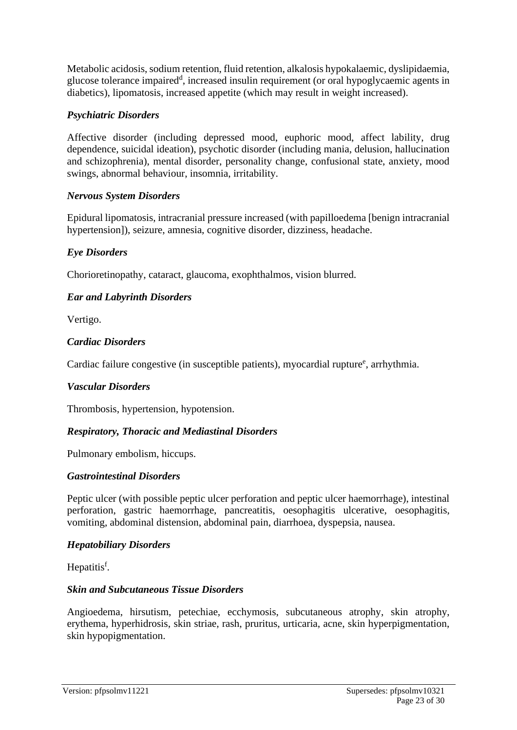Metabolic acidosis, sodium retention, fluid retention, alkalosis hypokalaemic, dyslipidaemia, glucose tolerance impaired<sup>d</sup>, increased insulin requirement (or oral hypoglycaemic agents in diabetics), lipomatosis, increased appetite (which may result in weight increased).

### *Psychiatric Disorders*

Affective disorder (including depressed mood, euphoric mood, affect lability, drug dependence, suicidal ideation), psychotic disorder (including mania, delusion, hallucination and schizophrenia), mental disorder, personality change, confusional state, anxiety, mood swings, abnormal behaviour, insomnia, irritability.

### *Nervous System Disorders*

Epidural lipomatosis, intracranial pressure increased (with papilloedema [benign intracranial hypertension]), seizure, amnesia, cognitive disorder, dizziness, headache.

### *Eye Disorders*

Chorioretinopathy, cataract, glaucoma, exophthalmos, vision blurred.

### *Ear and Labyrinth Disorders*

Vertigo.

### *Cardiac Disorders*

Cardiac failure congestive (in susceptible patients), myocardial rupture<sup>e</sup>, arrhythmia.

### *Vascular Disorders*

Thrombosis, hypertension, hypotension.

### *Respiratory, Thoracic and Mediastinal Disorders*

Pulmonary embolism, hiccups.

### *Gastrointestinal Disorders*

Peptic ulcer (with possible peptic ulcer perforation and peptic ulcer haemorrhage), intestinal perforation, gastric haemorrhage, pancreatitis, oesophagitis ulcerative, oesophagitis, vomiting, abdominal distension, abdominal pain, diarrhoea, dyspepsia, nausea.

### *Hepatobiliary Disorders*

Hepatitis<sup>f</sup>.

### *Skin and Subcutaneous Tissue Disorders*

Angioedema, hirsutism, petechiae, ecchymosis, subcutaneous atrophy, skin atrophy, erythema, hyperhidrosis, skin striae, rash, pruritus, urticaria, acne, skin hyperpigmentation, skin hypopigmentation.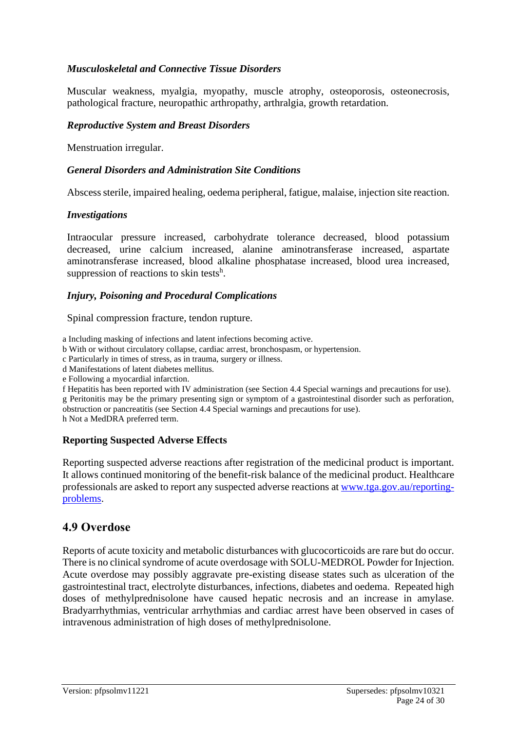### *Musculoskeletal and Connective Tissue Disorders*

Muscular weakness, myalgia, myopathy, muscle atrophy, osteoporosis, osteonecrosis, pathological fracture, neuropathic arthropathy, arthralgia, growth retardation.

#### *Reproductive System and Breast Disorders*

Menstruation irregular.

#### *General Disorders and Administration Site Conditions*

Abscess sterile, impaired healing, oedema peripheral, fatigue, malaise, injection site reaction.

#### *Investigations*

Intraocular pressure increased, carbohydrate tolerance decreased, blood potassium decreased, urine calcium increased, alanine aminotransferase increased, aspartate aminotransferase increased, blood alkaline phosphatase increased, blood urea increased, suppression of reactions to skin tests<sup>h</sup>.

### *Injury, Poisoning and Procedural Complications*

Spinal compression fracture, tendon rupture.

a Including masking of infections and latent infections becoming active.

- b With or without circulatory collapse, cardiac arrest, bronchospasm, or hypertension.
- c Particularly in times of stress, as in trauma, surgery or illness.
- d Manifestations of latent diabetes mellitus.
- e Following a myocardial infarction.

f Hepatitis has been reported with IV administration (see Section 4.4 Special warnings and precautions for use). g Peritonitis may be the primary presenting sign or symptom of a gastrointestinal disorder such as perforation, obstruction or pancreatitis (see Section 4.4 Special warnings and precautions for use). h Not a MedDRA preferred term.

### **Reporting Suspected Adverse Effects**

Reporting suspected adverse reactions after registration of the medicinal product is important. It allows continued monitoring of the benefit-risk balance of the medicinal product. Healthcare professionals are asked to report any suspected adverse reactions at [www.tga.gov.au/reporting](http://www.tga.gov.au/reporting-problems)[problems.](http://www.tga.gov.au/reporting-problems)

### **4.9 Overdose**

Reports of acute toxicity and metabolic disturbances with glucocorticoids are rare but do occur. There is no clinical syndrome of acute overdosage with SOLU-MEDROL Powder for Injection. Acute overdose may possibly aggravate pre-existing disease states such as ulceration of the gastrointestinal tract, electrolyte disturbances, infections, diabetes and oedema. Repeated high doses of methylprednisolone have caused hepatic necrosis and an increase in amylase. Bradyarrhythmias, ventricular arrhythmias and cardiac arrest have been observed in cases of intravenous administration of high doses of methylprednisolone.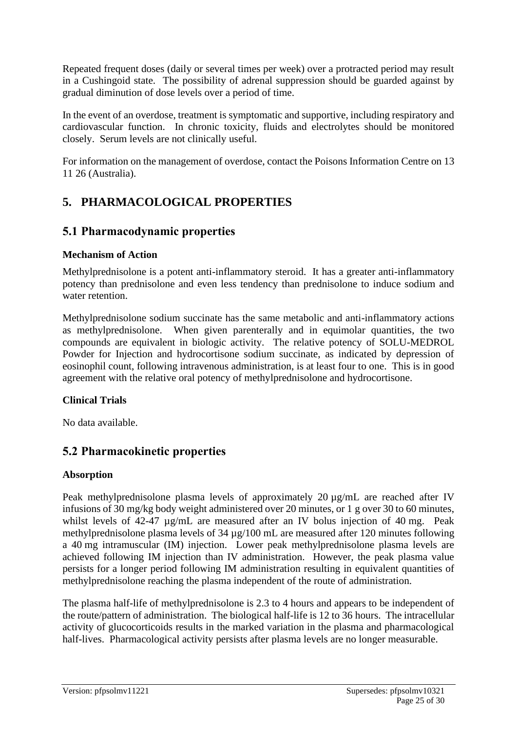Repeated frequent doses (daily or several times per week) over a protracted period may result in a Cushingoid state. The possibility of adrenal suppression should be guarded against by gradual diminution of dose levels over a period of time.

In the event of an overdose, treatment is symptomatic and supportive, including respiratory and cardiovascular function. In chronic toxicity, fluids and electrolytes should be monitored closely. Serum levels are not clinically useful.

For information on the management of overdose, contact the Poisons Information Centre on 13 11 26 (Australia).

# **5. PHARMACOLOGICAL PROPERTIES**

### **5.1 Pharmacodynamic properties**

### **Mechanism of Action**

Methylprednisolone is a potent anti-inflammatory steroid. It has a greater anti-inflammatory potency than prednisolone and even less tendency than prednisolone to induce sodium and water retention.

Methylprednisolone sodium succinate has the same metabolic and anti-inflammatory actions as methylprednisolone. When given parenterally and in equimolar quantities, the two compounds are equivalent in biologic activity. The relative potency of SOLU-MEDROL Powder for Injection and hydrocortisone sodium succinate, as indicated by depression of eosinophil count, following intravenous administration, is at least four to one. This is in good agreement with the relative oral potency of methylprednisolone and hydrocortisone.

### **Clinical Trials**

No data available.

# **5.2 Pharmacokinetic properties**

### **Absorption**

Peak methylprednisolone plasma levels of approximately 20  $\mu$ g/mL are reached after IV infusions of 30 mg/kg body weight administered over 20 minutes, or 1 g over 30 to 60 minutes, whilst levels of 42-47  $\mu$ g/mL are measured after an IV bolus injection of 40 mg. Peak methylprednisolone plasma levels of 34 µg/100 mL are measured after 120 minutes following a 40 mg intramuscular (IM) injection. Lower peak methylprednisolone plasma levels are achieved following IM injection than IV administration. However, the peak plasma value persists for a longer period following IM administration resulting in equivalent quantities of methylprednisolone reaching the plasma independent of the route of administration.

The plasma half-life of methylprednisolone is 2.3 to 4 hours and appears to be independent of the route/pattern of administration. The biological half-life is 12 to 36 hours. The intracellular activity of glucocorticoids results in the marked variation in the plasma and pharmacological half-lives. Pharmacological activity persists after plasma levels are no longer measurable.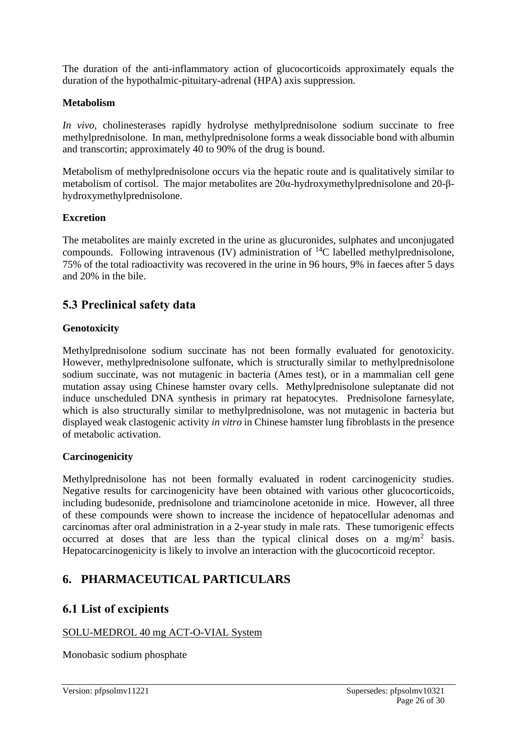The duration of the anti-inflammatory action of glucocorticoids approximately equals the duration of the hypothalmic-pituitary-adrenal (HPA) axis suppression.

### **Metabolism**

*In vivo*, cholinesterases rapidly hydrolyse methylprednisolone sodium succinate to free methylprednisolone. In man, methylprednisolone forms a weak dissociable bond with albumin and transcortin; approximately 40 to 90% of the drug is bound.

Metabolism of methylprednisolone occurs via the hepatic route and is qualitatively similar to metabolism of cortisol. The major metabolites are 20α-hydroxymethylprednisolone and 20-βhydroxymethylprednisolone.

### **Excretion**

The metabolites are mainly excreted in the urine as glucuronides, sulphates and unconjugated compounds. Following intravenous (IV) administration of  ${}^{14}C$  labelled methylprednisolone, 75% of the total radioactivity was recovered in the urine in 96 hours, 9% in faeces after 5 days and 20% in the bile.

### **5.3 Preclinical safety data**

### **Genotoxicity**

Methylprednisolone sodium succinate has not been formally evaluated for genotoxicity. However, methylprednisolone sulfonate, which is structurally similar to methylprednisolone sodium succinate, was not mutagenic in bacteria (Ames test), or in a mammalian cell gene mutation assay using Chinese hamster ovary cells. Methylprednisolone suleptanate did not induce unscheduled DNA synthesis in primary rat hepatocytes. Prednisolone farnesylate, which is also structurally similar to methylprednisolone, was not mutagenic in bacteria but displayed weak clastogenic activity *in vitro* in Chinese hamster lung fibroblasts in the presence of metabolic activation.

### **Carcinogenicity**

Methylprednisolone has not been formally evaluated in rodent carcinogenicity studies. Negative results for carcinogenicity have been obtained with various other glucocorticoids, including budesonide, prednisolone and triamcinolone acetonide in mice. However, all three of these compounds were shown to increase the incidence of hepatocellular adenomas and carcinomas after oral administration in a 2-year study in male rats. These tumorigenic effects occurred at doses that are less than the typical clinical doses on a mg/m<sup>2</sup> basis. Hepatocarcinogenicity is likely to involve an interaction with the glucocorticoid receptor.

### **6. PHARMACEUTICAL PARTICULARS**

### **6.1 List of excipients**

### SOLU-MEDROL 40 mg ACT-O-VIAL System

Monobasic sodium phosphate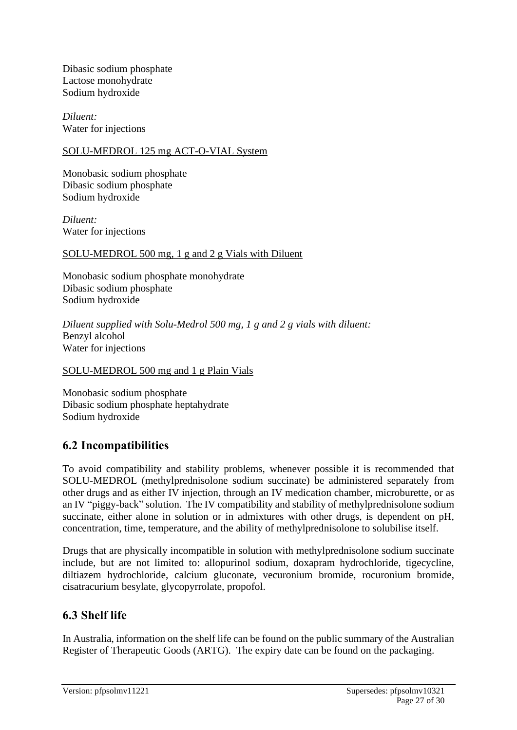Dibasic sodium phosphate Lactose monohydrate Sodium hydroxide

*Diluent:* Water for injections

### SOLU-MEDROL 125 mg ACT-O-VIAL System

Monobasic sodium phosphate Dibasic sodium phosphate Sodium hydroxide

*Diluent:* Water for injections

### SOLU-MEDROL 500 mg, 1 g and 2 g Vials with Diluent

Monobasic sodium phosphate monohydrate Dibasic sodium phosphate Sodium hydroxide

*Diluent supplied with Solu-Medrol 500 mg, 1 g and 2 g vials with diluent:* Benzyl alcohol Water for injections

### SOLU-MEDROL 500 mg and 1 g Plain Vials

Monobasic sodium phosphate Dibasic sodium phosphate heptahydrate Sodium hydroxide

### **6.2 Incompatibilities**

To avoid compatibility and stability problems, whenever possible it is recommended that SOLU-MEDROL (methylprednisolone sodium succinate) be administered separately from other drugs and as either IV injection, through an IV medication chamber, microburette, or as an IV "piggy-back" solution. The IV compatibility and stability of methylprednisolone sodium succinate, either alone in solution or in admixtures with other drugs, is dependent on pH, concentration, time, temperature, and the ability of methylprednisolone to solubilise itself.

Drugs that are physically incompatible in solution with methylprednisolone sodium succinate include, but are not limited to: allopurinol sodium, doxapram hydrochloride, tigecycline, diltiazem hydrochloride, calcium gluconate, vecuronium bromide, rocuronium bromide, cisatracurium besylate, glycopyrrolate, propofol.

### **6.3 Shelf life**

In Australia, information on the shelf life can be found on the public summary of the Australian Register of Therapeutic Goods (ARTG). The expiry date can be found on the packaging.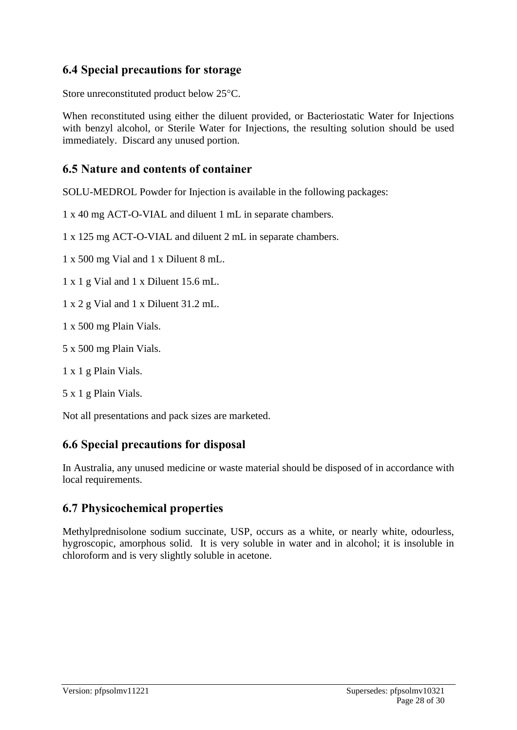### **6.4 Special precautions for storage**

Store unreconstituted product below 25°C.

When reconstituted using either the diluent provided, or Bacteriostatic Water for Injections with benzyl alcohol, or Sterile Water for Injections, the resulting solution should be used immediately. Discard any unused portion.

### **6.5 Nature and contents of container**

SOLU-MEDROL Powder for Injection is available in the following packages:

1 x 40 mg ACT-O-VIAL and diluent 1 mL in separate chambers.

1 x 125 mg ACT-O-VIAL and diluent 2 mL in separate chambers.

1 x 500 mg Vial and 1 x Diluent 8 mL.

1 x 1 g Vial and 1 x Diluent 15.6 mL.

1 x 2 g Vial and 1 x Diluent 31.2 mL.

1 x 500 mg Plain Vials.

5 x 500 mg Plain Vials.

1 x 1 g Plain Vials.

5 x 1 g Plain Vials.

Not all presentations and pack sizes are marketed.

### **6.6 Special precautions for disposal**

In Australia, any unused medicine or waste material should be disposed of in accordance with local requirements.

### **6.7 Physicochemical properties**

Methylprednisolone sodium succinate, USP, occurs as a white, or nearly white, odourless, hygroscopic, amorphous solid. It is very soluble in water and in alcohol; it is insoluble in chloroform and is very slightly soluble in acetone.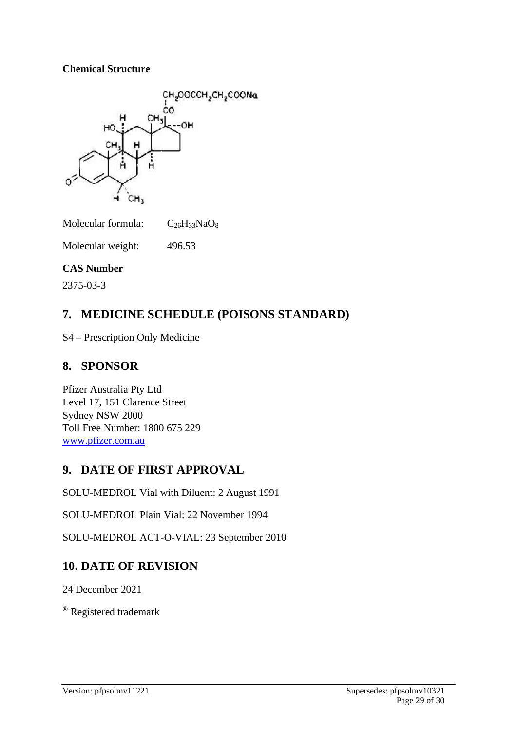### **Chemical Structure**



Molecular formula:  $C_{26}H_{33}NaO_8$ 

Molecular weight: 496.53

### **CAS Number**

2375-03-3

# **7. MEDICINE SCHEDULE (POISONS STANDARD)**

S4 – Prescription Only Medicine

# **8. SPONSOR**

Pfizer Australia Pty Ltd Level 17, 151 Clarence Street Sydney NSW 2000 Toll Free Number: 1800 675 229 [www.pfizer.com.au](http://www.pfizer.com.au/)

# **9. DATE OF FIRST APPROVAL**

SOLU-MEDROL Vial with Diluent: 2 August 1991

SOLU-MEDROL Plain Vial: 22 November 1994

SOLU-MEDROL ACT-O-VIAL: 23 September 2010

### **10. DATE OF REVISION**

24 December 2021

® Registered trademark